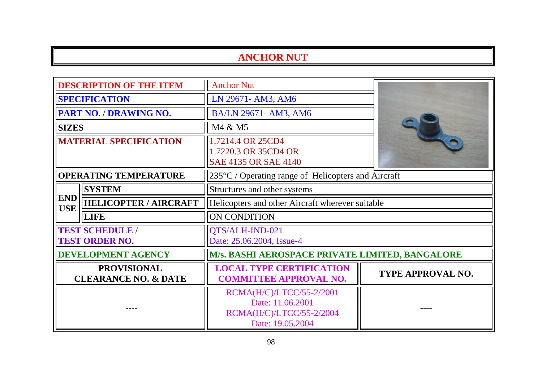| <b>DESCRIPTION OF THE ITEM</b>                        |                                                 | <b>Anchor Nut</b>                                                                            |                                                               |  |
|-------------------------------------------------------|-------------------------------------------------|----------------------------------------------------------------------------------------------|---------------------------------------------------------------|--|
| <b>SPECIFICATION</b>                                  |                                                 | LN 29671- AM3, AM6                                                                           |                                                               |  |
|                                                       | <b>PART NO. / DRAWING NO.</b>                   | BA/LN 29671- AM3, AM6                                                                        |                                                               |  |
| <b>SIZES</b>                                          |                                                 | M4 & M5                                                                                      |                                                               |  |
| <b>MATERIAL SPECIFICATION</b>                         |                                                 | 1.7214.4 OR 25CD4<br>1.7220.3 OR 35CD4 OR<br>SAE 4135 OR SAE 4140                            |                                                               |  |
|                                                       | <b>OPERATING TEMPERATURE</b>                    |                                                                                              | $235^{\circ}$ C / Operating range of Helicopters and Aircraft |  |
|                                                       | <b>SYSTEM</b>                                   | Structures and other systems                                                                 |                                                               |  |
| <b>END</b><br><b>USE</b>                              | <b>HELICOPTER / AIRCRAFT</b>                    | Helicopters and other Aircraft wherever suitable                                             |                                                               |  |
|                                                       | <b>LIFE</b>                                     | ON CONDITION                                                                                 |                                                               |  |
|                                                       | <b>TEST SCHEDULE /</b><br><b>TEST ORDER NO.</b> | QTS/ALH-IND-021<br>Date: 25.06.2004, Issue-4                                                 |                                                               |  |
|                                                       | <b>DEVELOPMENT AGENCY</b>                       | M/s. BASHI AEROSPACE PRIVATE LIMITED, BANGALORE                                              |                                                               |  |
| <b>PROVISIONAL</b><br><b>CLEARANCE NO. &amp; DATE</b> |                                                 | <b>LOCAL TYPE CERTIFICATION</b><br><b>COMMITTEE APPROVAL NO.</b>                             | TYPE APPROVAL NO.                                             |  |
|                                                       |                                                 | RCMA(H/C)/LTCC/55-2/2001<br>Date: 11.06.2001<br>RCMA(H/C)/LTCC/55-2/2004<br>Date: 19.05.2004 |                                                               |  |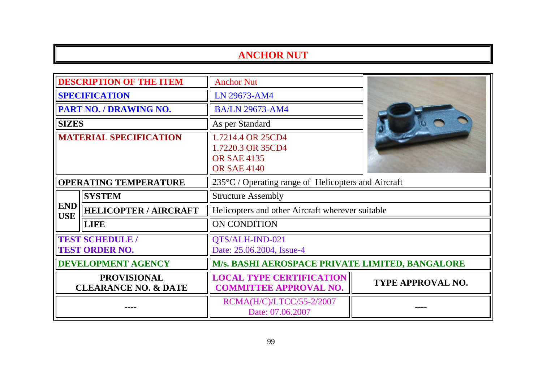| <b>DESCRIPTION OF THE ITEM</b>                        |                              | <b>Anchor Nut</b>                                                                  |                          |  |
|-------------------------------------------------------|------------------------------|------------------------------------------------------------------------------------|--------------------------|--|
| <b>SPECIFICATION</b>                                  |                              | LN 29673-AM4                                                                       |                          |  |
|                                                       | PART NO. / DRAWING NO.       | <b>BA/LN 29673-AM4</b>                                                             |                          |  |
| <b>SIZES</b>                                          |                              | As per Standard                                                                    |                          |  |
| <b>MATERIAL SPECIFICATION</b>                         |                              | 1.7214.4 OR 25CD4<br>1.7220.3 OR 35CD4<br><b>OR SAE 4135</b><br><b>OR SAE 4140</b> |                          |  |
|                                                       | <b>OPERATING TEMPERATURE</b> | 235°C / Operating range of Helicopters and Aircraft                                |                          |  |
|                                                       | <b>SYSTEM</b>                | <b>Structure Assembly</b>                                                          |                          |  |
| <b>END</b><br><b>USE</b>                              | <b>HELICOPTER / AIRCRAFT</b> | Helicopters and other Aircraft wherever suitable                                   |                          |  |
|                                                       | <b>LIFE</b>                  | <b>ON CONDITION</b>                                                                |                          |  |
| <b>TEST SCHEDULE /</b><br><b>TEST ORDER NO.</b>       |                              | QTS/ALH-IND-021<br>Date: 25.06.2004, Issue-4                                       |                          |  |
| <b>DEVELOPMENT AGENCY</b>                             |                              | M/s. BASHI AEROSPACE PRIVATE LIMITED, BANGALORE                                    |                          |  |
| <b>PROVISIONAL</b><br><b>CLEARANCE NO. &amp; DATE</b> |                              | <b>LOCAL TYPE CERTIFICATION</b><br><b>COMMITTEE APPROVAL NO.</b>                   | <b>TYPE APPROVAL NO.</b> |  |
|                                                       |                              | RCMA(H/C)/LTCC/55-2/2007<br>Date: 07.06.2007                                       |                          |  |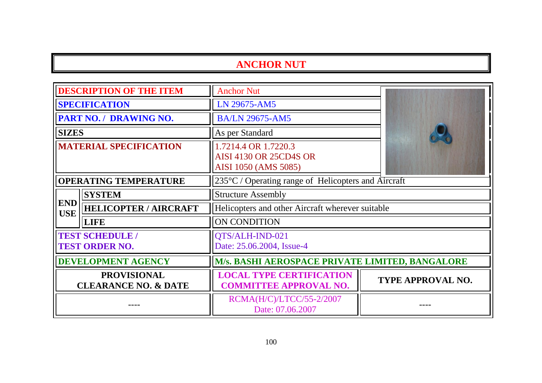| <b>DESCRIPTION OF THE ITEM</b>                        |                               | <b>Anchor Nut</b>                                                             |                          |
|-------------------------------------------------------|-------------------------------|-------------------------------------------------------------------------------|--------------------------|
| <b>SPECIFICATION</b>                                  |                               | LN 29675-AM5                                                                  |                          |
|                                                       | <b>PART NO. / DRAWING NO.</b> | <b>BA/LN 29675-AM5</b>                                                        |                          |
| <b>SIZES</b>                                          |                               | As per Standard                                                               |                          |
| <b>MATERIAL SPECIFICATION</b>                         |                               | 1.7214.4 OR 1.7220.3<br><b>AISI 4130 OR 25CD4S OR</b><br>AISI 1050 (AMS 5085) |                          |
| <b>OPERATING TEMPERATURE</b>                          |                               | $235^{\circ}$ C / Operating range of Helicopters and Aircraft                 |                          |
|                                                       | <b>SYSTEM</b>                 | <b>Structure Assembly</b>                                                     |                          |
| <b>END</b><br><b>USE</b>                              | <b>HELICOPTER / AIRCRAFT</b>  | Helicopters and other Aircraft wherever suitable                              |                          |
|                                                       | <b>LIFE</b>                   | <b>ON CONDITION</b>                                                           |                          |
| <b>TEST SCHEDULE /</b><br><b>TEST ORDER NO.</b>       |                               | QTS/ALH-IND-021<br>Date: 25.06.2004, Issue-4                                  |                          |
| <b>DEVELOPMENT AGENCY</b>                             |                               | M/s. BASHI AEROSPACE PRIVATE LIMITED, BANGALORE                               |                          |
| <b>PROVISIONAL</b><br><b>CLEARANCE NO. &amp; DATE</b> |                               | <b>LOCAL TYPE CERTIFICATION</b><br><b>COMMITTEE APPROVAL NO.</b>              | <b>TYPE APPROVAL NO.</b> |
|                                                       |                               | RCMA(H/C)/LTCC/55-2/2007<br>Date: 07.06.2007                                  |                          |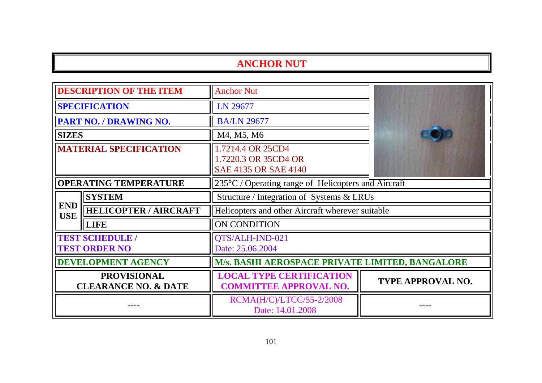| <b>DESCRIPTION OF THE ITEM</b>                        |                               | <b>Anchor Nut</b>                                                 |                          |  |
|-------------------------------------------------------|-------------------------------|-------------------------------------------------------------------|--------------------------|--|
| <b>SPECIFICATION</b>                                  |                               | LN 29677                                                          |                          |  |
|                                                       | <b>PART NO. / DRAWING NO.</b> | <b>BA/LN 29677</b>                                                |                          |  |
| <b>SIZES</b>                                          |                               | M4, M5, M6                                                        |                          |  |
| <b>MATERIAL SPECIFICATION</b>                         |                               | 1.7214.4 OR 25CD4<br>1.7220.3 OR 35CD4 OR<br>SAE 4135 OR SAE 4140 |                          |  |
| <b>OPERATING TEMPERATURE</b>                          |                               | 235°C / Operating range of Helicopters and Aircraft               |                          |  |
|                                                       | <b>SYSTEM</b>                 | Structure / Integration of Systems & LRUs                         |                          |  |
| <b>END</b><br><b>USE</b>                              | <b>HELICOPTER / AIRCRAFT</b>  | Helicopters and other Aircraft wherever suitable                  |                          |  |
|                                                       | <b>LIFE</b>                   | ON CONDITION                                                      |                          |  |
| <b>TEST SCHEDULE /</b><br><b>TEST ORDER NO</b>        |                               | QTS/ALH-IND-021<br>Date: 25.06.2004                               |                          |  |
| <b>DEVELOPMENT AGENCY</b>                             |                               | M/s. BASHI AEROSPACE PRIVATE LIMITED, BANGALORE                   |                          |  |
| <b>PROVISIONAL</b><br><b>CLEARANCE NO. &amp; DATE</b> |                               | <b>LOCAL TYPE CERTIFICATION</b><br><b>COMMITTEE APPROVAL NO.</b>  | <b>TYPE APPROVAL NO.</b> |  |
|                                                       |                               | RCMA(H/C)/LTCC/55-2/2008<br>Date: 14.01.2008                      |                          |  |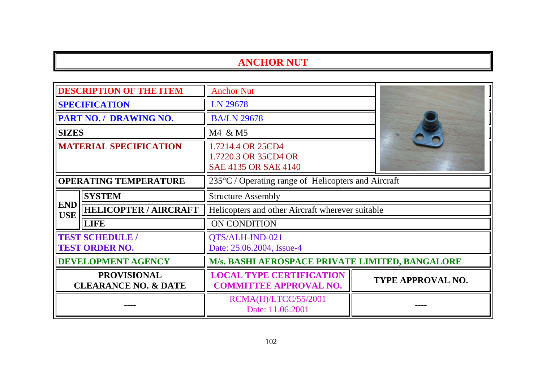| <b>DESCRIPTION OF THE ITEM</b>                        |                                                 | <b>Anchor Nut</b>                                                 |                          |
|-------------------------------------------------------|-------------------------------------------------|-------------------------------------------------------------------|--------------------------|
| <b>SPECIFICATION</b>                                  |                                                 | LN 29678                                                          |                          |
|                                                       | <b>PART NO. / DRAWING NO.</b>                   | <b>BA/LN 29678</b>                                                |                          |
| <b>SIZES</b>                                          |                                                 | M4 & M5                                                           |                          |
| <b>MATERIAL SPECIFICATION</b>                         |                                                 | 1.7214.4 OR 25CD4<br>1.7220.3 OR 35CD4 OR<br>SAE 4135 OR SAE 4140 |                          |
| <b>OPERATING TEMPERATURE</b>                          |                                                 | $235^{\circ}$ C / Operating range of Helicopters and Aircraft     |                          |
| <b>SYSTEM</b>                                         |                                                 | <b>Structure Assembly</b>                                         |                          |
| <b>END</b><br><b>USE</b>                              | <b>HELICOPTER / AIRCRAFT</b>                    | Helicopters and other Aircraft wherever suitable                  |                          |
|                                                       | <b>LIFE</b>                                     | ON CONDITION                                                      |                          |
|                                                       | <b>TEST SCHEDULE /</b><br><b>TEST ORDER NO.</b> | QTS/ALH-IND-021<br>Date: 25.06.2004, Issue-4                      |                          |
| <b>DEVELOPMENT AGENCY</b>                             |                                                 | <b>M/s. BASHI AEROSPACE PRIVATE LIMITED, BANGALORE</b>            |                          |
| <b>PROVISIONAL</b><br><b>CLEARANCE NO. &amp; DATE</b> |                                                 | <b>LOCAL TYPE CERTIFICATION</b><br><b>COMMITTEE APPROVAL NO.</b>  | <b>TYPE APPROVAL NO.</b> |
|                                                       |                                                 | RCMA(H)/LTCC/55/2001<br>Date: 11.06.2001                          |                          |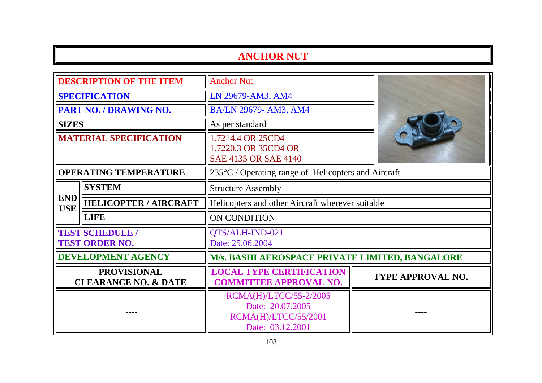| <b>DESCRIPTION OF THE ITEM</b>                        |                                                 | <b>Anchor Nut</b>                                                                      |                                                     |  |
|-------------------------------------------------------|-------------------------------------------------|----------------------------------------------------------------------------------------|-----------------------------------------------------|--|
| <b>SPECIFICATION</b>                                  |                                                 | LN 29679-AM3, AM4                                                                      |                                                     |  |
|                                                       | PART NO. / DRAWING NO.                          | BA/LN 29679- AM3, AM4                                                                  |                                                     |  |
| <b>SIZES</b>                                          |                                                 | As per standard                                                                        |                                                     |  |
| <b>MATERIAL SPECIFICATION</b>                         |                                                 | 1.7214.4 OR 25CD4<br>1.7220.3 OR 35CD4 OR<br>SAE 4135 OR SAE 4140                      |                                                     |  |
| <b>OPERATING TEMPERATURE</b>                          |                                                 |                                                                                        | 235°C / Operating range of Helicopters and Aircraft |  |
|                                                       | <b>SYSTEM</b>                                   | <b>Structure Assembly</b>                                                              |                                                     |  |
| <b>END</b><br><b>USE</b>                              | <b>HELICOPTER / AIRCRAFT</b>                    | Helicopters and other Aircraft wherever suitable                                       |                                                     |  |
|                                                       | <b>LIFE</b>                                     | <b>ON CONDITION</b>                                                                    |                                                     |  |
|                                                       | <b>TEST SCHEDULE /</b><br><b>TEST ORDER NO.</b> | QTS/ALH-IND-021<br>Date: 25.06.2004                                                    |                                                     |  |
|                                                       | DEVELOPMENT AGENCY                              | M/s. BASHI AEROSPACE PRIVATE LIMITED, BANGALORE                                        |                                                     |  |
| <b>PROVISIONAL</b><br><b>CLEARANCE NO. &amp; DATE</b> |                                                 | <b>LOCAL TYPE CERTIFICATION</b><br><b>COMMITTEE APPROVAL NO.</b>                       | <b>TYPE APPROVAL NO.</b>                            |  |
|                                                       |                                                 | RCMA(H)/LTCC/55-2/2005<br>Date: 20.07.2005<br>RCMA(H)/LTCC/55/2001<br>Date: 03.12.2001 |                                                     |  |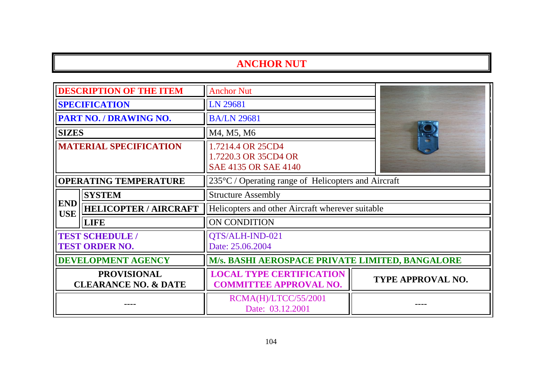| <b>DESCRIPTION OF THE ITEM</b>                        |                                                 | <b>Anchor Nut</b>                                                 |                   |
|-------------------------------------------------------|-------------------------------------------------|-------------------------------------------------------------------|-------------------|
| <b>SPECIFICATION</b>                                  |                                                 | LN 29681                                                          |                   |
|                                                       | <b>PART NO. / DRAWING NO.</b>                   | <b>BA/LN 29681</b>                                                |                   |
| <b>SIZES</b>                                          |                                                 | M4, M5, M6                                                        |                   |
| <b>MATERIAL SPECIFICATION</b>                         |                                                 | 1.7214.4 OR 25CD4<br>1.7220.3 OR 35CD4 OR<br>SAE 4135 OR SAE 4140 |                   |
| <b>OPERATING TEMPERATURE</b>                          |                                                 | $235^{\circ}$ C / Operating range of Helicopters and Aircraft     |                   |
|                                                       | <b>SYSTEM</b>                                   | <b>Structure Assembly</b>                                         |                   |
| <b>END</b><br><b>USE</b>                              | <b>HELICOPTER / AIRCRAFT</b>                    | Helicopters and other Aircraft wherever suitable                  |                   |
|                                                       | <b>LIFE</b>                                     | ON CONDITION                                                      |                   |
|                                                       | <b>TEST SCHEDULE /</b><br><b>TEST ORDER NO.</b> | QTS/ALH-IND-021<br>Date: 25.06.2004                               |                   |
| <b>DEVELOPMENT AGENCY</b>                             |                                                 | M/s. BASHI AEROSPACE PRIVATE LIMITED, BANGALORE                   |                   |
| <b>PROVISIONAL</b><br><b>CLEARANCE NO. &amp; DATE</b> |                                                 | <b>LOCAL TYPE CERTIFICATION</b><br><b>COMMITTEE APPROVAL NO.</b>  | TYPE APPROVAL NO. |
|                                                       |                                                 | RCMA(H)/LTCC/55/2001<br>Date: 03.12.2001                          |                   |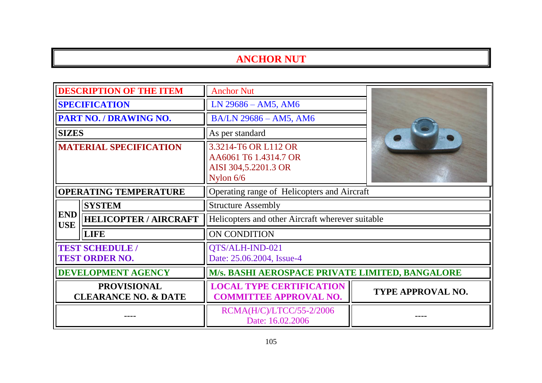| <b>DESCRIPTION OF THE ITEM</b>                        |                              | <b>Anchor Nut</b>                                                                    |                   |  |
|-------------------------------------------------------|------------------------------|--------------------------------------------------------------------------------------|-------------------|--|
| <b>SPECIFICATION</b>                                  |                              | $LN$ 29686 – AM5, AM6                                                                |                   |  |
|                                                       | PART NO. / DRAWING NO.       | BA/LN 29686 - AM5, AM6                                                               |                   |  |
| <b>SIZES</b>                                          |                              | As per standard                                                                      |                   |  |
| <b>MATERIAL SPECIFICATION</b>                         |                              | 3.3214-T6 OR L112 OR<br>AA6061 T6 1.4314.7 OR<br>AISI 304,5.2201.3 OR<br>Nylon $6/6$ |                   |  |
| <b>OPERATING TEMPERATURE</b>                          |                              | Operating range of Helicopters and Aircraft                                          |                   |  |
|                                                       | <b>SYSTEM</b>                | <b>Structure Assembly</b>                                                            |                   |  |
| <b>END</b><br><b>USE</b>                              | <b>HELICOPTER / AIRCRAFT</b> | Helicopters and other Aircraft wherever suitable                                     |                   |  |
|                                                       | <b>LIFE</b>                  | ON CONDITION                                                                         |                   |  |
| <b>TEST SCHEDULE /</b><br><b>TEST ORDER NO.</b>       |                              | QTS/ALH-IND-021<br>Date: 25.06.2004, Issue-4                                         |                   |  |
| <b>DEVELOPMENT AGENCY</b>                             |                              | M/s. BASHI AEROSPACE PRIVATE LIMITED, BANGALORE                                      |                   |  |
| <b>PROVISIONAL</b><br><b>CLEARANCE NO. &amp; DATE</b> |                              | <b>LOCAL TYPE CERTIFICATION</b><br><b>COMMITTEE APPROVAL NO.</b>                     | TYPE APPROVAL NO. |  |
|                                                       |                              | RCMA(H/C)/LTCC/55-2/2006<br>Date: 16.02.2006                                         |                   |  |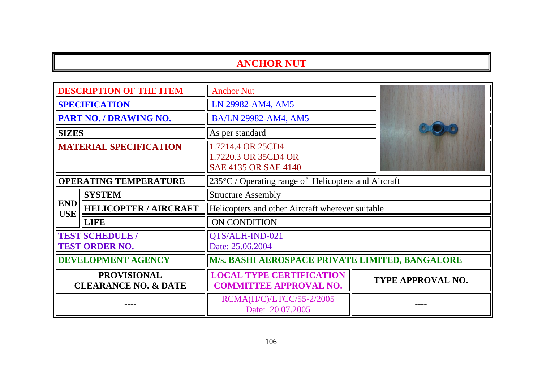| <b>DESCRIPTION OF THE ITEM</b>                        |                                                 | <b>Anchor Nut</b>                                                 |  |                          |
|-------------------------------------------------------|-------------------------------------------------|-------------------------------------------------------------------|--|--------------------------|
| <b>SPECIFICATION</b>                                  |                                                 | LN 29982-AM4, AM5                                                 |  |                          |
|                                                       | <b>PART NO. / DRAWING NO.</b>                   | <b>BA/LN 29982-AM4, AM5</b>                                       |  |                          |
| <b>SIZES</b>                                          |                                                 | As per standard                                                   |  |                          |
| <b>MATERIAL SPECIFICATION</b>                         |                                                 | 1.7214.4 OR 25CD4<br>1.7220.3 OR 35CD4 OR<br>SAE 4135 OR SAE 4140 |  |                          |
| <b>OPERATING TEMPERATURE</b>                          |                                                 | $235^{\circ}$ C / Operating range of Helicopters and Aircraft     |  |                          |
|                                                       | <b>SYSTEM</b>                                   | <b>Structure Assembly</b>                                         |  |                          |
| <b>END</b><br><b>USE</b>                              | <b>HELICOPTER / AIRCRAFT</b>                    | Helicopters and other Aircraft wherever suitable                  |  |                          |
|                                                       | <b>LIFE</b>                                     | ON CONDITION                                                      |  |                          |
|                                                       | <b>TEST SCHEDULE /</b><br><b>TEST ORDER NO.</b> | QTS/ALH-IND-021<br>Date: 25.06.2004                               |  |                          |
| <b>DEVELOPMENT AGENCY</b>                             |                                                 | M/s. BASHI AEROSPACE PRIVATE LIMITED, BANGALORE                   |  |                          |
| <b>PROVISIONAL</b><br><b>CLEARANCE NO. &amp; DATE</b> |                                                 | <b>LOCAL TYPE CERTIFICATION</b><br><b>COMMITTEE APPROVAL NO.</b>  |  | <b>TYPE APPROVAL NO.</b> |
|                                                       |                                                 | RCMA(H/C)/LTCC/55-2/2005<br>Date: 20.07.2005                      |  |                          |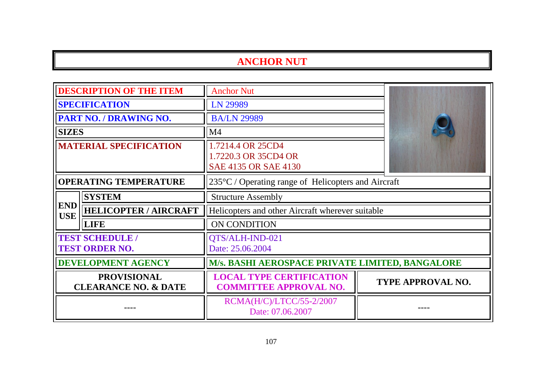| <b>DESCRIPTION OF THE ITEM</b>                        |                                                 | <b>Anchor Nut</b>                                                 |                          |
|-------------------------------------------------------|-------------------------------------------------|-------------------------------------------------------------------|--------------------------|
| <b>SPECIFICATION</b>                                  |                                                 | LN 29989                                                          |                          |
|                                                       | <b>PART NO. / DRAWING NO.</b>                   | <b>BA/LN 29989</b>                                                |                          |
| <b>SIZES</b>                                          |                                                 | M <sub>4</sub>                                                    |                          |
| <b>MATERIAL SPECIFICATION</b>                         |                                                 | 1.7214.4 OR 25CD4<br>1.7220.3 OR 35CD4 OR<br>SAE 4135 OR SAE 4130 |                          |
| <b>OPERATING TEMPERATURE</b>                          |                                                 | 235°C / Operating range of Helicopters and Aircraft               |                          |
|                                                       | <b>SYSTEM</b>                                   | <b>Structure Assembly</b>                                         |                          |
| <b>END</b><br><b>USE</b>                              | <b>HELICOPTER / AIRCRAFT</b>                    | Helicopters and other Aircraft wherever suitable                  |                          |
|                                                       | <b>LIFE</b>                                     | ON CONDITION                                                      |                          |
|                                                       | <b>TEST SCHEDULE /</b><br><b>TEST ORDER NO.</b> | QTS/ALH-IND-021<br>Date: 25.06.2004                               |                          |
| <b>DEVELOPMENT AGENCY</b>                             |                                                 | <b>M/s. BASHI AEROSPACE PRIVATE LIMITED, BANGALORE</b>            |                          |
| <b>PROVISIONAL</b><br><b>CLEARANCE NO. &amp; DATE</b> |                                                 | <b>LOCAL TYPE CERTIFICATION</b><br><b>COMMITTEE APPROVAL NO.</b>  | <b>TYPE APPROVAL NO.</b> |
|                                                       |                                                 | RCMA(H/C)/LTCC/55-2/2007<br>Date: 07.06.2007                      |                          |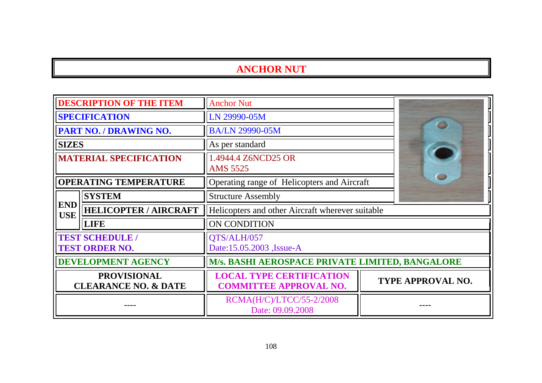|                                                       | <b>DESCRIPTION OF THE ITEM</b>                  | <b>Anchor Nut</b>                                                |                          |
|-------------------------------------------------------|-------------------------------------------------|------------------------------------------------------------------|--------------------------|
| <b>SPECIFICATION</b>                                  |                                                 | LN 29990-05M                                                     |                          |
|                                                       | <b>PART NO. / DRAWING NO.</b>                   | <b>BA/LN 29990-05M</b>                                           |                          |
| <b>SIZES</b>                                          |                                                 | As per standard                                                  |                          |
| <b>MATERIAL SPECIFICATION</b>                         |                                                 | 1.4944.4 Z6NCD25 OR<br><b>AMS 5525</b>                           |                          |
| <b>OPERATING TEMPERATURE</b>                          |                                                 | Operating range of Helicopters and Aircraft                      |                          |
|                                                       | <b>SYSTEM</b>                                   | <b>Structure Assembly</b>                                        |                          |
| <b>END</b><br><b>USE</b>                              | <b>HELICOPTER / AIRCRAFT</b>                    | Helicopters and other Aircraft wherever suitable                 |                          |
|                                                       | <b>LIFE</b>                                     | ON CONDITION                                                     |                          |
|                                                       | <b>TEST SCHEDULE /</b><br><b>TEST ORDER NO.</b> | QTS/ALH/057<br>Date:15.05.2003, Issue-A                          |                          |
| <b>DEVELOPMENT AGENCY</b>                             |                                                 | M/s. BASHI AEROSPACE PRIVATE LIMITED, BANGALORE                  |                          |
| <b>PROVISIONAL</b><br><b>CLEARANCE NO. &amp; DATE</b> |                                                 | <b>LOCAL TYPE CERTIFICATION</b><br><b>COMMITTEE APPROVAL NO.</b> | <b>TYPE APPROVAL NO.</b> |
|                                                       |                                                 | RCMA(H/C)/LTCC/55-2/2008<br>Date: 09.09.2008                     |                          |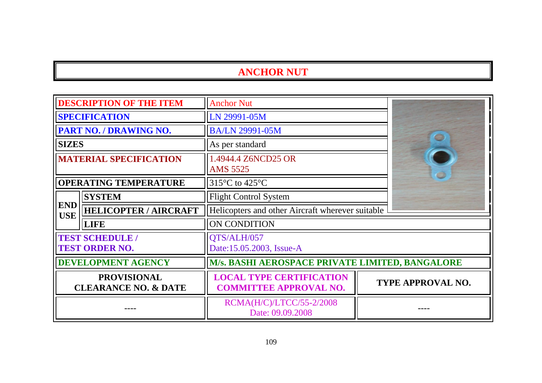| <b>DESCRIPTION OF THE ITEM</b>                        |                                                 | <b>Anchor Nut</b>                                                |                          |
|-------------------------------------------------------|-------------------------------------------------|------------------------------------------------------------------|--------------------------|
| <b>SPECIFICATION</b>                                  |                                                 | LN 29991-05M                                                     |                          |
|                                                       | <b>PART NO. / DRAWING NO.</b>                   | <b>BA/LN 29991-05M</b>                                           |                          |
| <b>SIZES</b>                                          |                                                 | As per standard                                                  | æ                        |
| <b>MATERIAL SPECIFICATION</b>                         |                                                 | 1.4944.4 Z6NCD25 OR<br><b>AMS 5525</b>                           |                          |
|                                                       | <b>OPERATING TEMPERATURE</b>                    | 315°C to 425°C                                                   |                          |
|                                                       | <b>SYSTEM</b>                                   | <b>Flight Control System</b>                                     |                          |
| <b>END</b><br><b>USE</b>                              | <b>HELICOPTER / AIRCRAFT</b>                    | Helicopters and other Aircraft wherever suitable                 |                          |
|                                                       | <b>LIFE</b>                                     | ON CONDITION                                                     |                          |
|                                                       | <b>TEST SCHEDULE /</b><br><b>TEST ORDER NO.</b> | QTS/ALH/057<br>Date:15.05.2003, Issue-A                          |                          |
|                                                       | <b>DEVELOPMENT AGENCY</b>                       | M/s. BASHI AEROSPACE PRIVATE LIMITED, BANGALORE                  |                          |
| <b>PROVISIONAL</b><br><b>CLEARANCE NO. &amp; DATE</b> |                                                 | <b>LOCAL TYPE CERTIFICATION</b><br><b>COMMITTEE APPROVAL NO.</b> | <b>TYPE APPROVAL NO.</b> |
|                                                       |                                                 | RCMA(H/C)/LTCC/55-2/2008<br>Date: 09.09.2008                     |                          |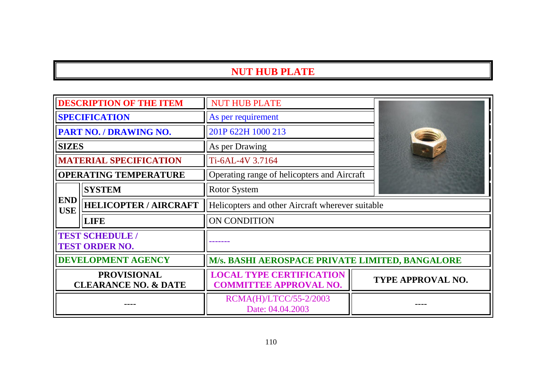# **NUT HUB PLATE**

| <b>DESCRIPTION OF THE ITEM</b>                        |                               | <b>NUT HUB PLATE</b>                                             |                          |
|-------------------------------------------------------|-------------------------------|------------------------------------------------------------------|--------------------------|
| <b>SPECIFICATION</b>                                  |                               | As per requirement                                               |                          |
| PART NO. / DRAWING NO.                                |                               | 201P 622H 1000 213                                               |                          |
| <b>SIZES</b>                                          |                               | As per Drawing                                                   |                          |
|                                                       | <b>MATERIAL SPECIFICATION</b> | Ti-6AL-4V 3.7164                                                 |                          |
|                                                       | <b>OPERATING TEMPERATURE</b>  | Operating range of helicopters and Aircraft                      |                          |
|                                                       | <b>SYSTEM</b>                 | <b>Rotor System</b>                                              |                          |
| <b>END</b><br><b>USE</b>                              | <b>HELICOPTER / AIRCRAFT</b>  | Helicopters and other Aircraft wherever suitable                 |                          |
|                                                       | <b>LIFE</b>                   | ON CONDITION                                                     |                          |
| <b>TEST SCHEDULE /</b><br><b>TEST ORDER NO.</b>       |                               |                                                                  |                          |
| <b>DEVELOPMENT AGENCY</b>                             |                               | M/s. BASHI AEROSPACE PRIVATE LIMITED, BANGALORE                  |                          |
| <b>PROVISIONAL</b><br><b>CLEARANCE NO. &amp; DATE</b> |                               | <b>LOCAL TYPE CERTIFICATION</b><br><b>COMMITTEE APPROVAL NO.</b> | <b>TYPE APPROVAL NO.</b> |
|                                                       |                               | RCMA(H)/LTCC/55-2/2003<br>Date: 04.04.2003                       |                          |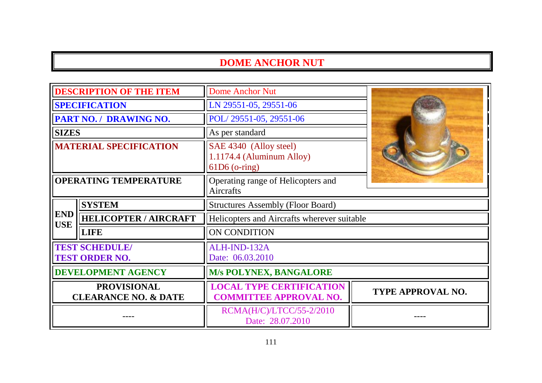## **DOME ANCHOR NUT**

| <b>DESCRIPTION OF THE ITEM</b>                        |                              | <b>Dome Anchor Nut</b>                                                 |                   |
|-------------------------------------------------------|------------------------------|------------------------------------------------------------------------|-------------------|
| <b>SPECIFICATION</b>                                  |                              | LN 29551-05, 29551-06                                                  |                   |
| PART NO. / DRAWING NO.                                |                              | POL/29551-05, 29551-06                                                 |                   |
| <b>SIZES</b>                                          |                              | As per standard                                                        |                   |
| <b>MATERIAL SPECIFICATION</b>                         |                              | SAE 4340 (Alloy steel)<br>1.1174.4 (Aluminum Alloy)<br>$61D6$ (o-ring) |                   |
| <b>OPERATING TEMPERATURE</b>                          |                              | Operating range of Helicopters and<br>Aircrafts                        |                   |
| <b>SYSTEM</b>                                         |                              | <b>Structures Assembly (Floor Board)</b>                               |                   |
| <b>END</b><br><b>USE</b>                              | <b>HELICOPTER / AIRCRAFT</b> | Helicopters and Aircrafts wherever suitable                            |                   |
|                                                       | <b>LIFE</b>                  | <b>ON CONDITION</b>                                                    |                   |
| <b>TEST SCHEDULE/</b><br><b>TEST ORDER NO.</b>        |                              | ALH-IND-132A<br>Date: 06.03.2010                                       |                   |
| <b>DEVELOPMENT AGENCY</b>                             |                              | <b>M/s POLYNEX, BANGALORE</b>                                          |                   |
| <b>PROVISIONAL</b><br><b>CLEARANCE NO. &amp; DATE</b> |                              | <b>LOCAL TYPE CERTIFICATION</b><br><b>COMMITTEE APPROVAL NO.</b>       | TYPE APPROVAL NO. |
|                                                       |                              | RCMA(H/C)/LTCC/55-2/2010<br>Date: 28.07.2010                           |                   |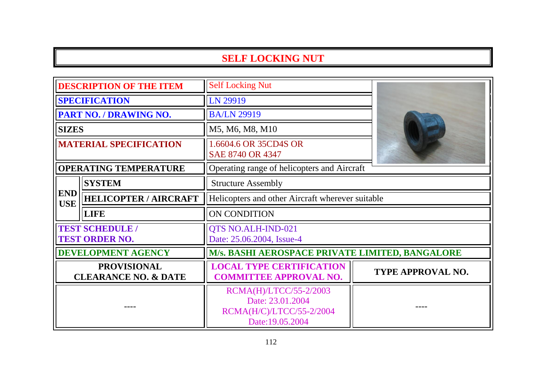## **SELF LOCKING NUT**

| <b>DESCRIPTION OF THE ITEM</b>                        |                              | <b>Self Locking Nut</b>                                                                   |                          |
|-------------------------------------------------------|------------------------------|-------------------------------------------------------------------------------------------|--------------------------|
| <b>SPECIFICATION</b>                                  |                              | LN 29919                                                                                  |                          |
| PART NO. / DRAWING NO.                                |                              | <b>BA/LN 29919</b>                                                                        |                          |
| <b>SIZES</b>                                          |                              | M5, M6, M8, M10                                                                           |                          |
| <b>MATERIAL SPECIFICATION</b>                         |                              | 1.6604.6 OR 35CD4S OR<br>SAE 8740 OR 4347                                                 |                          |
|                                                       | <b>OPERATING TEMPERATURE</b> | Operating range of helicopters and Aircraft                                               |                          |
|                                                       | <b>SYSTEM</b>                | <b>Structure Assembly</b>                                                                 |                          |
| <b>END</b><br><b>USE</b>                              | <b>HELICOPTER / AIRCRAFT</b> | Helicopters and other Aircraft wherever suitable                                          |                          |
|                                                       | <b>LIFE</b>                  | ON CONDITION                                                                              |                          |
| <b>TEST SCHEDULE /</b><br><b>TEST ORDER NO.</b>       |                              | QTS NO.ALH-IND-021<br>Date: 25.06.2004, Issue-4                                           |                          |
|                                                       | <b>DEVELOPMENT AGENCY</b>    | M/s. BASHI AEROSPACE PRIVATE LIMITED, BANGALORE                                           |                          |
| <b>PROVISIONAL</b><br><b>CLEARANCE NO. &amp; DATE</b> |                              | <b>LOCAL TYPE CERTIFICATION</b><br><b>COMMITTEE APPROVAL NO.</b>                          | <b>TYPE APPROVAL NO.</b> |
|                                                       |                              | RCMA(H)/LTCC/55-2/2003<br>Date: 23.01.2004<br>RCMA(H/C)/LTCC/55-2/2004<br>Date:19.05.2004 |                          |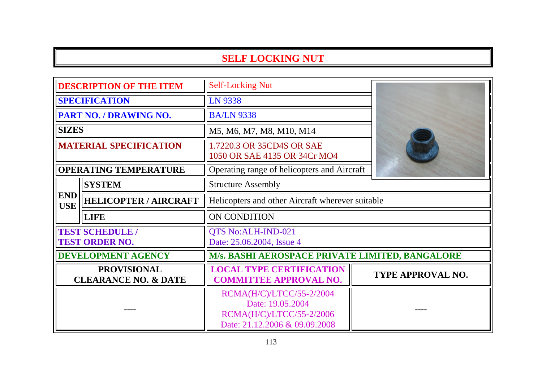## **SELF LOCKING NUT**

| <b>DESCRIPTION OF THE ITEM</b>                        |                              | <b>Self-Locking Nut</b>                                                                                   |                          |
|-------------------------------------------------------|------------------------------|-----------------------------------------------------------------------------------------------------------|--------------------------|
| <b>SPECIFICATION</b>                                  |                              | LN 9338                                                                                                   |                          |
| PART NO. / DRAWING NO.                                |                              | <b>BA/LN 9338</b>                                                                                         |                          |
| <b>SIZES</b>                                          |                              | M5, M6, M7, M8, M10, M14                                                                                  |                          |
| <b>MATERIAL SPECIFICATION</b>                         |                              | 1.7220.3 OR 35CD4S OR SAE<br>1050 OR SAE 4135 OR 34Cr MO4                                                 |                          |
|                                                       | <b>OPERATING TEMPERATURE</b> | Operating range of helicopters and Aircraft                                                               |                          |
|                                                       | <b>SYSTEM</b>                | <b>Structure Assembly</b>                                                                                 |                          |
| <b>END</b><br><b>USE</b>                              | <b>HELICOPTER / AIRCRAFT</b> | Helicopters and other Aircraft wherever suitable                                                          |                          |
|                                                       | <b>LIFE</b>                  | <b>ON CONDITION</b>                                                                                       |                          |
| <b>TEST SCHEDULE /</b><br><b>TEST ORDER NO.</b>       |                              | QTS No:ALH-IND-021<br>Date: 25.06.2004, Issue 4                                                           |                          |
|                                                       | <b>DEVELOPMENT AGENCY</b>    | M/s. BASHI AEROSPACE PRIVATE LIMITED, BANGALORE                                                           |                          |
| <b>PROVISIONAL</b><br><b>CLEARANCE NO. &amp; DATE</b> |                              | <b>LOCAL TYPE CERTIFICATION</b><br><b>COMMITTEE APPROVAL NO.</b>                                          | <b>TYPE APPROVAL NO.</b> |
|                                                       |                              | RCMA(H/C)/LTCC/55-2/2004<br>Date: 19.05.2004<br>RCMA(H/C)/LTCC/55-2/2006<br>Date: 21.12.2006 & 09.09.2008 |                          |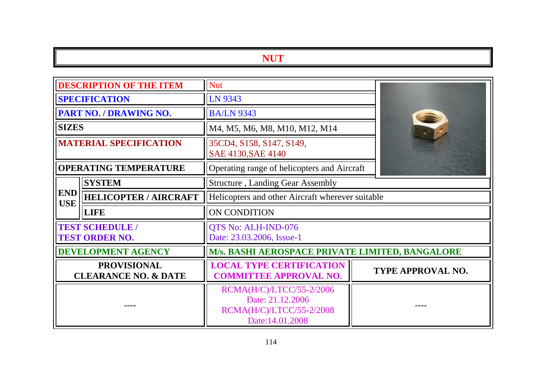#### **NUT**

| <b>DESCRIPTION OF THE ITEM</b>                        |                              | <b>Nut</b>                                                                                   |                   |
|-------------------------------------------------------|------------------------------|----------------------------------------------------------------------------------------------|-------------------|
| <b>SPECIFICATION</b>                                  |                              | LN 9343                                                                                      |                   |
| PART NO. / DRAWING NO.                                |                              | <b>BA/LN 9343</b>                                                                            |                   |
| <b>SIZES</b>                                          |                              | M4, M5, M6, M8, M10, M12, M14                                                                |                   |
| <b>MATERIAL SPECIFICATION</b>                         |                              | 35CD4, S158, S147, S149,<br>SAE 4130, SAE 4140                                               |                   |
|                                                       | <b>OPERATING TEMPERATURE</b> | Operating range of helicopters and Aircraft                                                  |                   |
|                                                       | <b>SYSTEM</b>                | <b>Structure</b> , Landing Gear Assembly                                                     |                   |
| <b>END</b><br><b>USE</b>                              | <b>HELICOPTER / AIRCRAFT</b> | Helicopters and other Aircraft wherever suitable                                             |                   |
|                                                       | <b>LIFE</b>                  | ON CONDITION                                                                                 |                   |
| <b>TEST SCHEDULE /</b><br><b>TEST ORDER NO.</b>       |                              | QTS No: ALH-IND-076<br>Date: 23.03.2006, Issue-1                                             |                   |
|                                                       | <b>DEVELOPMENT AGENCY</b>    | M/s. BASHI AEROSPACE PRIVATE LIMITED, BANGALORE                                              |                   |
| <b>PROVISIONAL</b><br><b>CLEARANCE NO. &amp; DATE</b> |                              | <b>LOCAL TYPE CERTIFICATION</b><br><b>COMMITTEE APPROVAL NO.</b>                             | TYPE APPROVAL NO. |
|                                                       |                              | RCMA(H/C)/LTCC/55-2/2006<br>Date: 21.12.2006<br>RCMA(H/C)/LTCC/55-2/2008<br>Date: 14.01.2008 |                   |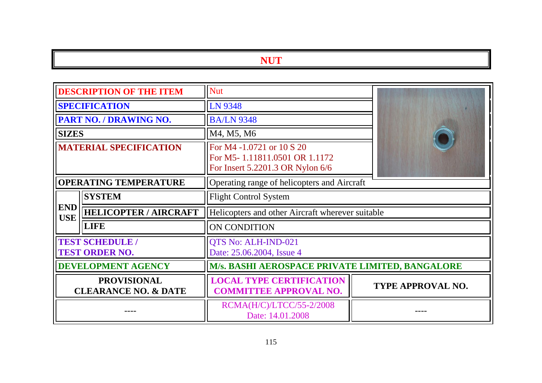# **NUT**

| <b>DESCRIPTION OF THE ITEM</b>                        |                              | <b>Nut</b>                                                                                     |                          |
|-------------------------------------------------------|------------------------------|------------------------------------------------------------------------------------------------|--------------------------|
| <b>SPECIFICATION</b>                                  |                              | LN 9348                                                                                        |                          |
|                                                       | PART NO. / DRAWING NO.       | <b>BA/LN 9348</b>                                                                              |                          |
| <b>SIZES</b>                                          |                              | M4, M5, M6                                                                                     |                          |
| <b>MATERIAL SPECIFICATION</b>                         |                              | For M4 -1.0721 or 10 S 20<br>For M5-1.11811.0501 OR 1.1172<br>For Insert 5.2201.3 OR Nylon 6/6 |                          |
| <b>OPERATING TEMPERATURE</b>                          |                              | Operating range of helicopters and Aircraft                                                    |                          |
|                                                       | <b>SYSTEM</b>                | <b>Flight Control System</b>                                                                   |                          |
| <b>END</b><br><b>USE</b>                              | <b>HELICOPTER / AIRCRAFT</b> | Helicopters and other Aircraft wherever suitable                                               |                          |
|                                                       | <b>LIFE</b>                  | ON CONDITION                                                                                   |                          |
| <b>TEST SCHEDULE /</b><br><b>TEST ORDER NO.</b>       |                              | QTS No: ALH-IND-021<br>Date: 25.06.2004, Issue 4                                               |                          |
| <b>DEVELOPMENT AGENCY</b>                             |                              | M/s. BASHI AEROSPACE PRIVATE LIMITED, BANGALORE                                                |                          |
| <b>PROVISIONAL</b><br><b>CLEARANCE NO. &amp; DATE</b> |                              | <b>LOCAL TYPE CERTIFICATION</b><br><b>COMMITTEE APPROVAL NO.</b>                               | <b>TYPE APPROVAL NO.</b> |
|                                                       |                              | RCMA(H/C)/LTCC/55-2/2008<br>Date: 14.01.2008                                                   |                          |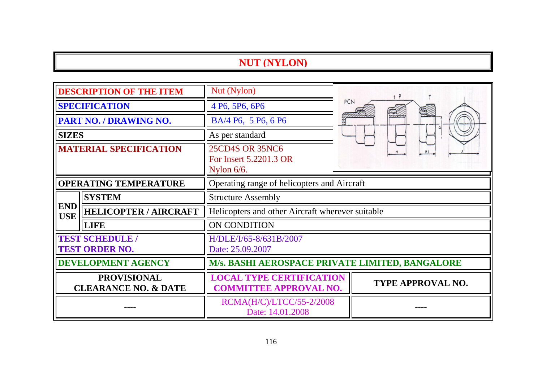# **NUT (NYLON)**

| <b>DESCRIPTION OF THE ITEM</b>                        |                              | Nut (Nylon)                                                      |                          |
|-------------------------------------------------------|------------------------------|------------------------------------------------------------------|--------------------------|
| <b>SPECIFICATION</b>                                  |                              | 4 P6, 5P6, 6P6                                                   | PCN                      |
| PART NO. / DRAWING NO.                                |                              | BA/4 P6, 5 P6, 6 P6                                              |                          |
| <b>SIZES</b>                                          |                              | As per standard                                                  |                          |
| <b>MATERIAL SPECIFICATION</b>                         |                              | <b>25CD4S OR 35NC6</b><br>For Insert 5.2201.3 OR<br>Nylon 6/6.   |                          |
| <b>OPERATING TEMPERATURE</b>                          |                              | Operating range of helicopters and Aircraft                      |                          |
|                                                       | <b>SYSTEM</b>                | <b>Structure Assembly</b>                                        |                          |
| <b>END</b><br><b>USE</b>                              | <b>HELICOPTER / AIRCRAFT</b> | Helicopters and other Aircraft wherever suitable                 |                          |
|                                                       | <b>LIFE</b>                  | ON CONDITION                                                     |                          |
| <b>TEST SCHEDULE /</b><br><b>TEST ORDER NO.</b>       |                              | H/DLE/I/65-8/631B/2007<br>Date: 25.09.2007                       |                          |
| <b>DEVELOPMENT AGENCY</b>                             |                              | M/s. BASHI AEROSPACE PRIVATE LIMITED, BANGALORE                  |                          |
| <b>PROVISIONAL</b><br><b>CLEARANCE NO. &amp; DATE</b> |                              | <b>LOCAL TYPE CERTIFICATION</b><br><b>COMMITTEE APPROVAL NO.</b> | <b>TYPE APPROVAL NO.</b> |
|                                                       |                              | RCMA(H/C)/LTCC/55-2/2008<br>Date: 14.01.2008                     |                          |